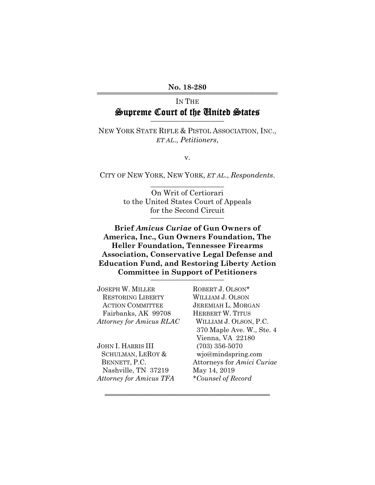#### No. 18-280

# IN THE Supreme Court of the United States

NEW YORK STATE RIFLE & PISTOL ASSOCIATION, INC., *ET AL*., *Petitioners*,

v.

CITY OF NEW YORK, NEW YORK, *ET AL*., *Respondents*. \_\_\_\_\_\_\_\_\_\_\_\_\_\_\_\_\_\_\_\_

> On Writ of Certiorari to the United States Court of Appeals for the Second Circuit

**Brief** *Amicus Curiae* **of Gun Owners of America, Inc., Gun Owners Foundation, The Heller Foundation, Tennessee Firearms Association, Conservative Legal Defense and Education Fund, and Restoring Liberty Action Committee in Support of Petitioners** \_\_\_\_\_\_\_\_\_\_\_\_\_\_\_\_\_\_\_\_

444444444444444444444444444444444444444444

JOSEPH W. MILLER ROBERT J. OLSON\* RESTORING LIBERTY WILLIAM J. OLSON ACTION COMMITTEE JEREMIAH L. MORGAN Fairbanks, AK 99708 HERBERT W. TITUS *Attorney for Amicus RLAC* WILLIAM J. OLSON, P.C.

JOHN I. HARRIS III (703) 356-5070 SCHULMAN, LEROY & wjo@mindspring.com Nashville, TN 37219 May 14, 2019 *Attorney for Amicus TFA \*Counsel of Record*

370 Maple Ave. W., Ste. 4 Vienna, VA 22180 BENNETT, P.C. Attorneys for *Amici Curiae*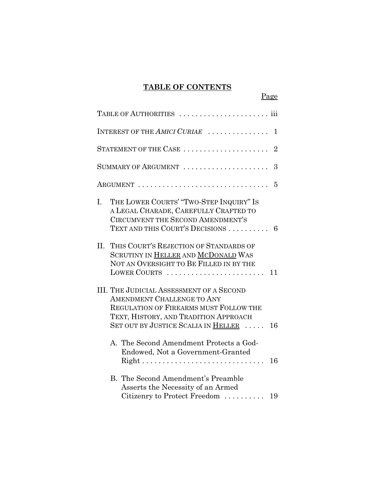# **TABLE OF CONTENTS**

Page

|     | TABLE OF AUTHORITIES                                                                                                                                                                                                 |
|-----|----------------------------------------------------------------------------------------------------------------------------------------------------------------------------------------------------------------------|
|     | INTEREST OF THE AMICI CURIAE<br>1                                                                                                                                                                                    |
|     | STATEMENT OF THE CASE<br>$\overline{2}$                                                                                                                                                                              |
|     | SUMMARY OF ARGUMENT<br>3                                                                                                                                                                                             |
|     | 5                                                                                                                                                                                                                    |
| I.  | THE LOWER COURTS' "TWO-STEP INQUIRY" IS<br>A LEGAL CHARADE, CAREFULLY CRAFTED TO<br><b>CIRCUMVENT THE SECOND AMENDMENT'S</b><br>TEXT AND THIS COURT'S DECISIONS<br>6                                                 |
| II. | THIS COURT'S REJECTION OF STANDARDS OF<br>SCRUTINY IN HELLER AND MCDONALD WAS<br>NOT AN OVERSIGHT TO BE FILLED IN BY THE<br>LOWER COURTS<br>11                                                                       |
|     | <b>III. THE JUDICIAL ASSESSMENT OF A SECOND</b><br><b>AMENDMENT CHALLENGE TO ANY</b><br>REGULATION OF FIREARMS MUST FOLLOW THE<br>TEXT, HISTORY, AND TRADITION APPROACH<br>SET OUT BY JUSTICE SCALIA IN HELLER<br>16 |
|     | A. The Second Amendment Protects a God-<br>Endowed, Not a Government-Granted<br>16                                                                                                                                   |
|     | <b>B.</b> The Second Amendment's Preamble<br>Asserts the Necessity of an Armed<br>Citizenry to Protect Freedom<br>19                                                                                                 |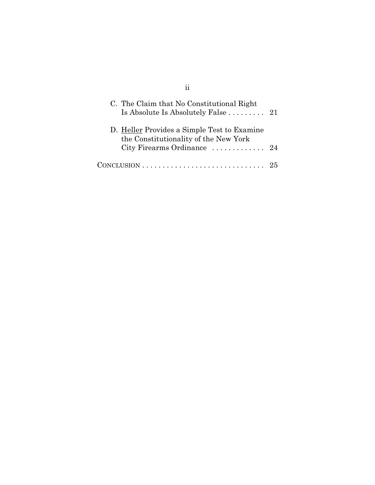| C. The Claim that No Constitutional Right<br>Is Absolute Is Absolutely False $\ldots \ldots \ldots$ 21                                           |    |
|--------------------------------------------------------------------------------------------------------------------------------------------------|----|
| D. Heller Provides a Simple Test to Examine<br>the Constitutionality of the New York<br>City Firearms Ordinance $\ldots \ldots \ldots \ldots$ 24 |    |
|                                                                                                                                                  | 25 |

ii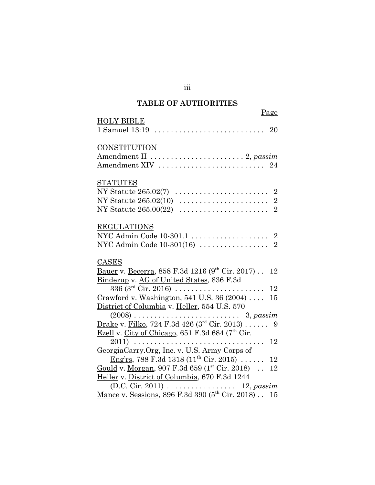# **TABLE OF AUTHORITIES**

|                                                                                      | Page |
|--------------------------------------------------------------------------------------|------|
| <b>HOLY BIBLE</b>                                                                    |      |
| 1 Samuel 13:19                                                                       | 20   |
| <b>CONSTITUTION</b>                                                                  |      |
| Amendment II  2, passim                                                              |      |
| Amendment XIV  24                                                                    |      |
| <b>STATUTES</b>                                                                      |      |
|                                                                                      |      |
|                                                                                      |      |
| NY Statute 265.00(22)                                                                |      |
| <b>REGULATIONS</b>                                                                   |      |
| NYC Admin Code 10-301.1  2                                                           |      |
|                                                                                      |      |
| <b>CASES</b>                                                                         |      |
| <u>Bauer</u> v. Becerra, 858 F.3d 1216 (9 <sup>th</sup> Cir. 2017).                  | 12   |
| Binderup v. AG of United States, 836 F.3d                                            |      |
| $336 (3^{rd}$ Cir. 2016)                                                             | 12   |
| Crawford v. Washington, 541 U.S. 36 (2004)                                           | 15   |
| District of Columbia v. Heller, 554 U.S. 570                                         |      |
|                                                                                      |      |
| <u>Drake</u> v. Filko, 724 F.3d 426 (3 <sup>rd</sup> Cir. 2013) 9                    |      |
| Ezell v. City of Chicago, 651 F.3d 684 ( $7th$ Cir.                                  |      |
|                                                                                      | 12   |
| GeorgiaCarry.Org, Inc. v. U.S. Army Corps of                                         |      |
| <u>Eng'rs, 788 F.3d 1318</u> (11 <sup>th</sup> Cir. 2015)                            | 12   |
| Gould v. Morgan, 907 F.3d 659 $(1^{st}$ Cir. 2018).                                  | 12   |
| Heller v. District of Columbia, 670 F.3d 1244                                        |      |
| (D.C. Cir. 2011) 12, passim Mance v. Sessions, 896 F.3d 390 ( $5^{th}$ Cir. 2018) 15 |      |
|                                                                                      |      |

iii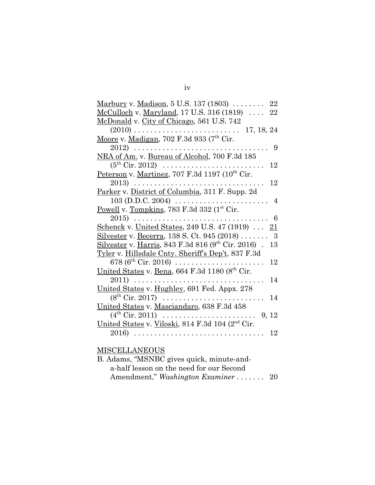| Marbury v. Madison, $5$ U.S. 137 (1803) $\ldots \ldots$<br>22                       |
|-------------------------------------------------------------------------------------|
| McCulloch v. Maryland, 17 U.S. 316 (1819) $\dots$<br>22                             |
| McDonald v. City of Chicago, 561 U.S. 742                                           |
| $(2010)$<br>17, 18, 24<br>$\sim$ $\sim$                                             |
| Moore v. Madigan, 702 F.3d 933 (7 <sup>th</sup> Cir.                                |
| 2012)<br>9                                                                          |
| NRA of Am. v. Bureau of Alcohol, 700 F.3d 185                                       |
| $(5^{\text{th}} \text{ Cir. } 2012) \dots \dots \dots \dots$<br>12<br>$\alpha$      |
| Peterson v. Martinez, 707 F.3d 1197 (10 <sup>th</sup> Cir.                          |
| 12<br>$2013)$                                                                       |
| Parker v. District of Columbia, 311 F. Supp. 2d                                     |
| $103$ (D.D.C. 2004)<br>4                                                            |
| Powell v. Tompkins, 783 F.3d 332 (1st Cir.                                          |
| $2015$<br>6                                                                         |
| <u>Schenck</u> v. United States, 249 U.S. 47 (1919)<br>21                           |
| Silvester v. Becerra, 138 S. Ct. 945 (2018)<br>- 3                                  |
| <u>Silvester</u> v. <u>Harris</u> , 843 F.3d 816 (9 <sup>th</sup> Cir. 2016).<br>13 |
| Tyler v. Hillsdale Cnty. Sheriff's Dep't, 837 F.3d                                  |
| 678 ( $6^{th}$ Cir. 2016)<br>12<br>$\mathbf{1}$                                     |
| United States v. Bena, 664 F.3d 1180 (8 <sup>th</sup> Cir.                          |
| 2011)<br>14<br>.                                                                    |
| United States v. Hughley, 691 Fed. Appx. 278                                        |
| $(8^{th}$ Cir. 2017)<br>14                                                          |
| United States v. Masciandaro, 638 F.3d 458                                          |
| $(4^{th}$ Cir. 2011)<br>9, 12<br>$\mathbf{r}$                                       |
| United States v. Viloski, 814 F.3d 104 (2 <sup>nd</sup> Cir.                        |
| 12<br>2016)<br>.<br>.                                                               |
|                                                                                     |

### MISCELLANEOUS

| B. Adams, "MSNBC gives quick, minute-and- |  |
|-------------------------------------------|--|
| a-half lesson on the need for our Second  |  |
| Amendment," Washington Examiner  20       |  |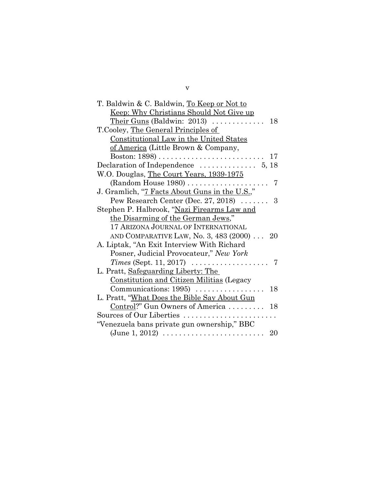| T. Baldwin & C. Baldwin, To Keep or Not to                               |  |
|--------------------------------------------------------------------------|--|
| <u>Keep: Why Christians Should Not Give up</u>                           |  |
| Their Guns (Baldwin: 2013) $\ldots$<br>18                                |  |
| T. Cooley, <u>The General Principles of</u>                              |  |
| Constitutional Law in the United States                                  |  |
| of America (Little Brown & Company,                                      |  |
| Boston: $1898)$<br>17                                                    |  |
| Declaration of Independence $\dots\dots\dots\dots$ 5, 18                 |  |
| W.O. Douglas, The Court Years, 1939-1975                                 |  |
| (Random House $1980$ )<br>7                                              |  |
| J. Gramlich, "7 Facts About Guns in the U.S.,"                           |  |
| Pew Research Center (Dec. 27, 2018) $\ldots$<br>3                        |  |
| Stephen P. Halbrook, "Nazi Firearms Law and                              |  |
| the Disarming of the German Jews,"                                       |  |
| 17 ARIZONA JOURNAL OF INTERNATIONAL                                      |  |
| AND COMPARATIVE LAW, No. 3, 483 (2000)  20                               |  |
| A. Liptak, "An Exit Interview With Richard"                              |  |
| Posner, Judicial Provocateur," New York                                  |  |
| Times (Sept. 11, 2017) $\ldots \ldots \ldots \ldots \ldots$              |  |
| L. Pratt, Safeguarding Liberty: The                                      |  |
| <b>Constitution and Citizen Militias (Legacy</b>                         |  |
| Communications: $1995$<br>18                                             |  |
| L. Pratt, "What Does the Bible Say About Gun                             |  |
| Control?" Gun Owners of America<br>18                                    |  |
| Sources of Our Liberties $\ldots \ldots \ldots \ldots \ldots \ldots$     |  |
| "Venezuela bans private gun ownership," BBC                              |  |
| $(June\ 1, 2012) \ldots \ldots \ldots \ldots \ldots \ldots \ldots$<br>20 |  |

v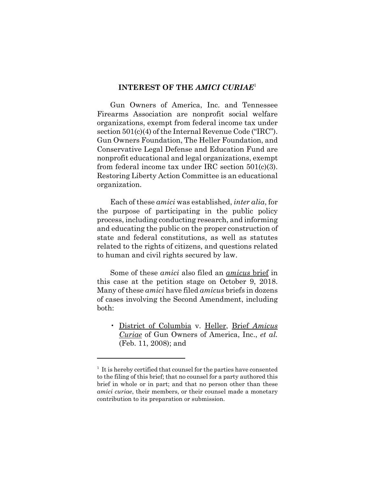### **INTEREST OF THE** *AMICI CURIAE*<sup>1</sup>

Gun Owners of America, Inc. and Tennessee Firearms Association are nonprofit social welfare organizations, exempt from federal income tax under section 501(c)(4) of the Internal Revenue Code ("IRC"). Gun Owners Foundation, The Heller Foundation, and Conservative Legal Defense and Education Fund are nonprofit educational and legal organizations, exempt from federal income tax under IRC section 501(c)(3). Restoring Liberty Action Committee is an educational organization.

Each of these *amici* was established, *inter alia*, for the purpose of participating in the public policy process, including conducting research, and informing and educating the public on the proper construction of state and federal constitutions, as well as statutes related to the rights of citizens, and questions related to human and civil rights secured by law.

Some of these *amici* also filed an *amicus* brief in this case at the petition stage on October 9, 2018. Many of these *amici* have filed *amicus* briefs in dozens of cases involving the Second Amendment, including both:

• District of Columbia v. Heller, Brief *Amicus Curiae* of Gun Owners of America, Inc., *et al.* (Feb. 11, 2008); and

<sup>&</sup>lt;sup>1</sup> It is hereby certified that counsel for the parties have consented to the filing of this brief; that no counsel for a party authored this brief in whole or in part; and that no person other than these *amici curiae*, their members, or their counsel made a monetary contribution to its preparation or submission.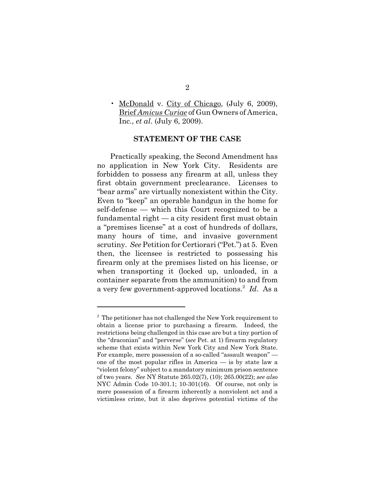• McDonald v. City of Chicago, (July 6, 2009), Brief *Amicus Curiae* of Gun Owners of America, Inc., *et al*. (July 6, 2009).

### **STATEMENT OF THE CASE**

Practically speaking, the Second Amendment has no application in New York City. Residents are forbidden to possess any firearm at all, unless they first obtain government preclearance. Licenses to "bear arms" are virtually nonexistent within the City. Even to "keep" an operable handgun in the home for self-defense — which this Court recognized to be a fundamental right — a city resident first must obtain a "premises license" at a cost of hundreds of dollars, many hours of time, and invasive government scrutiny. *See* Petition for Certiorari ("Pet.") at 5. Even then, the licensee is restricted to possessing his firearm only at the premises listed on his license, or when transporting it (locked up, unloaded, in a container separate from the ammunition) to and from a very few government-approved locations.2 *Id*. As a

<sup>&</sup>lt;sup>2</sup> The petitioner has not challenged the New York requirement to obtain a license prior to purchasing a firearm. Indeed, the restrictions being challenged in this case are but a tiny portion of the "draconian" and "perverse" (*see* Pet. at 1) firearm regulatory scheme that exists within New York City and New York State. For example, mere possession of a so-called "assault weapon" one of the most popular rifles in America — is by state law a "violent felony" subject to a mandatory minimum prison sentence of two years. *See* NY Statute 265.02(7), (10); 265.00(22); *see also* NYC Admin Code 10-301.1; 10-301(16). Of course, not only is mere possession of a firearm inherently a nonviolent act and a victimless crime, but it also deprives potential victims of the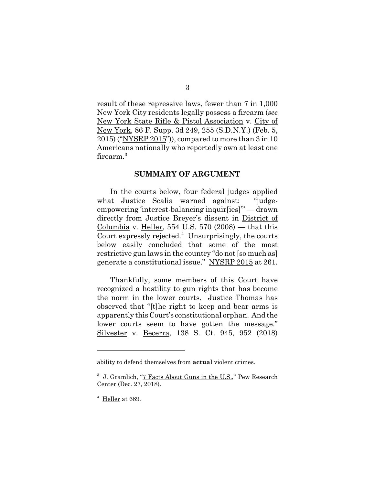result of these repressive laws, fewer than 7 in 1,000 New York City residents legally possess a firearm (*see* New York State Rifle & Pistol Association v. City of New York, 86 F. Supp. 3d 249, 255 (S.D.N.Y.) (Feb. 5, 2015) ("NYSRP 2015")), compared to more than 3 in 10 Americans nationally who reportedly own at least one firearm.<sup>3</sup>

#### **SUMMARY OF ARGUMENT**

In the courts below, four federal judges applied what Justice Scalia warned against: "judgeempowering 'interest-balancing inquir[ies]'" — drawn directly from Justice Breyer's dissent in District of Columbia v. Heller, 554 U.S. 570  $(2008)$  — that this Court expressly rejected.<sup>4</sup> Unsurprisingly, the courts below easily concluded that some of the most restrictive gun laws in the country "do not [so much as] generate a constitutional issue." NYSRP 2015 at 261.

Thankfully, some members of this Court have recognized a hostility to gun rights that has become the norm in the lower courts. Justice Thomas has observed that "[t]he right to keep and bear arms is apparently this Court's constitutional orphan. And the lower courts seem to have gotten the message." Silvester v. Becerra, 138 S. Ct. 945, 952 (2018)

ability to defend themselves from **actual** violent crimes.

<sup>&</sup>lt;sup>3</sup> J. Gramlich, "7 Facts About Guns in the U.S.," Pew Research Center (Dec. 27, 2018).

 $4$  Heller at 689.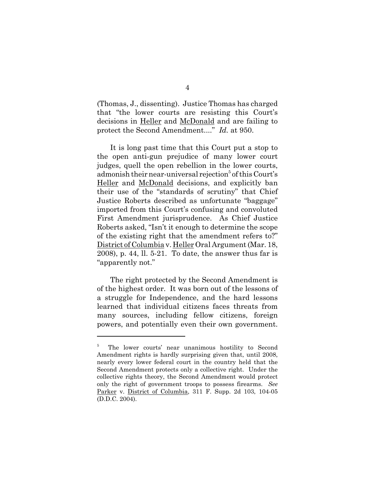(Thomas, J., dissenting). Justice Thomas has charged that "the lower courts are resisting this Court's decisions in Heller and McDonald and are failing to protect the Second Amendment...." *Id.* at 950.

It is long past time that this Court put a stop to the open anti-gun prejudice of many lower court judges, quell the open rebellion in the lower courts, admonish their near-universal rejection<sup>5</sup> of this Court's Heller and McDonald decisions, and explicitly ban their use of the "standards of scrutiny" that Chief Justice Roberts described as unfortunate "baggage" imported from this Court's confusing and convoluted First Amendment jurisprudence. As Chief Justice Roberts asked, "Isn't it enough to determine the scope of the existing right that the amendment refers to?" District of Columbia v. Heller Oral Argument (Mar. 18, 2008), p. 44, ll. 5-21. To date, the answer thus far is "apparently not."

The right protected by the Second Amendment is of the highest order. It was born out of the lessons of a struggle for Independence, and the hard lessons learned that individual citizens faces threats from many sources, including fellow citizens, foreign powers, and potentially even their own government.

<sup>5</sup> The lower courts' near unanimous hostility to Second Amendment rights is hardly surprising given that, until 2008, nearly every lower federal court in the country held that the Second Amendment protects only a collective right. Under the collective rights theory, the Second Amendment would protect only the right of government troops to possess firearms. *See* Parker v. District of Columbia, 311 F. Supp. 2d 103, 104-05 (D.D.C. 2004).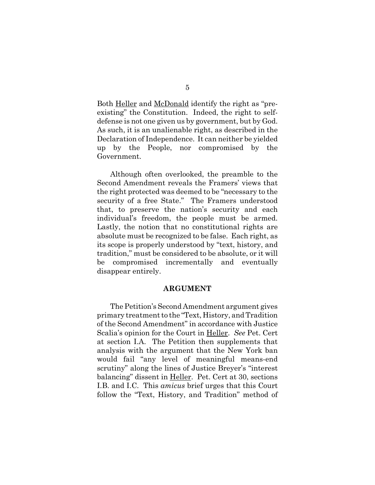Both <u>Heller</u> and <u>McDonald</u> identify the right as "preexisting" the Constitution. Indeed, the right to selfdefense is not one given us by government, but by God. As such, it is an unalienable right, as described in the Declaration of Independence. It can neither be yielded up by the People, nor compromised by the Government.

Although often overlooked, the preamble to the Second Amendment reveals the Framers' views that the right protected was deemed to be "necessary to the security of a free State." The Framers understood that, to preserve the nation's security and each individual's freedom, the people must be armed. Lastly, the notion that no constitutional rights are absolute must be recognized to be false. Each right, as its scope is properly understood by "text, history, and tradition," must be considered to be absolute, or it will be compromised incrementally and eventually disappear entirely.

#### **ARGUMENT**

The Petition's Second Amendment argument gives primary treatment to the "Text, History, and Tradition of the Second Amendment" in accordance with Justice Scalia's opinion for the Court in Heller. *See* Pet. Cert at section I.A. The Petition then supplements that analysis with the argument that the New York ban would fail "any level of meaningful means-end scrutiny" along the lines of Justice Breyer's "interest balancing" dissent in Heller. Pet. Cert at 30, sections I.B. and I.C. This *amicus* brief urges that this Court follow the "Text, History, and Tradition" method of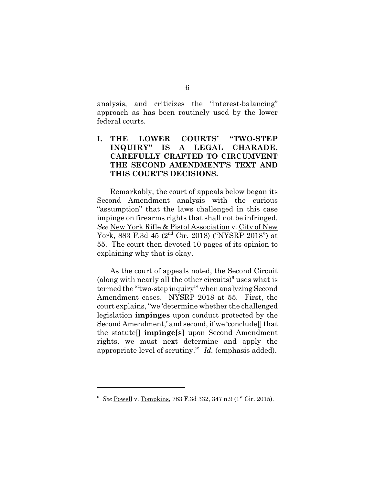analysis, and criticizes the "interest-balancing" approach as has been routinely used by the lower federal courts.

# **I. THE LOWER COURTS' "TWO-STEP INQUIRY" IS A LEGAL CHARADE, CAREFULLY CRAFTED TO CIRCUMVENT THE SECOND AMENDMENT'S TEXT AND THIS COURT'S DECISIONS.**

Remarkably, the court of appeals below began its Second Amendment analysis with the curious "assumption" that the laws challenged in this case impinge on firearms rights that shall not be infringed. *See* New York Rifle & Pistol Association v. City of New York, 883 F.3d 45 (2nd Cir. 2018) ("NYSRP 2018") at 55. The court then devoted 10 pages of its opinion to explaining why that is okay.

As the court of appeals noted, the Second Circuit (along with nearly all the other circuits) $\delta$  uses what is termed the "'two-step inquiry'" when analyzing Second Amendment cases. NYSRP 2018 at 55. First, the court explains, "we 'determine whether the challenged legislation **impinges** upon conduct protected by the Second Amendment,' and second, if we 'conclude[] that the statute[] **impinge[s]** upon Second Amendment rights, we must next determine and apply the appropriate level of scrutiny.'" *Id.* (emphasis added).

<sup>&</sup>lt;sup>6</sup> See Powell v. Tompkins, 783 F.3d 332, 347 n.9 (1<sup>st</sup> Cir. 2015).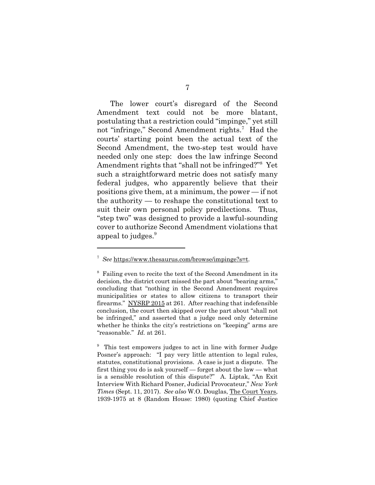The lower court's disregard of the Second Amendment text could not be more blatant, postulating that a restriction could "impinge," yet still not "infringe," Second Amendment rights.<sup>7</sup> Had the courts' starting point been the actual text of the Second Amendment, the two-step test would have needed only one step: does the law infringe Second Amendment rights that "shall not be infringed?"8 Yet such a straightforward metric does not satisfy many federal judges, who apparently believe that their positions give them, at a minimum, the power — if not the authority — to reshape the constitutional text to suit their own personal policy predilections. Thus, "step two" was designed to provide a lawful-sounding cover to authorize Second Amendment violations that appeal to judges.<sup>9</sup>

<sup>7</sup> *See* https://www.thesaurus.com/browse/impinge?s=t.

<sup>&</sup>lt;sup>8</sup> Failing even to recite the text of the Second Amendment in its decision, the district court missed the part about "bearing arms," concluding that "nothing in the Second Amendment requires municipalities or states to allow citizens to transport their firearms." NYSRP 2015 at 261. After reaching that indefensible conclusion, the court then skipped over the part about "shall not be infringed," and asserted that a judge need only determine whether he thinks the city's restrictions on "keeping" arms are "reasonable." *Id.* at 261.

<sup>&</sup>lt;sup>9</sup> This test empowers judges to act in line with former Judge Posner's approach: "I pay very little attention to legal rules, statutes, constitutional provisions. A case is just a dispute. The first thing you do is ask yourself — forget about the law — what is a sensible resolution of this dispute?" A. Liptak, "An Exit Interview With Richard Posner, Judicial Provocateur," *New York Times* (Sept. 11, 2017). *See also* W.O. Douglas, The Court Years, 1939-1975 at 8 (Random House: 1980) (quoting Chief Justice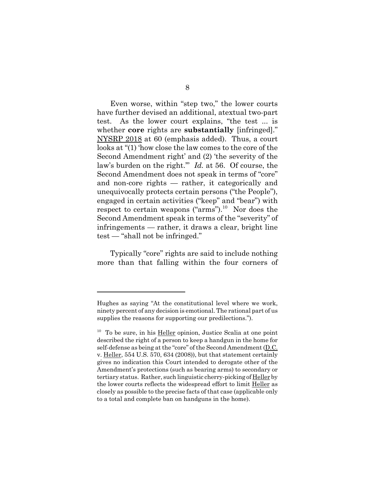Even worse, within "step two," the lower courts have further devised an additional, atextual two-part test. As the lower court explains, "the test ... is whether **core** rights are **substantially** [infringed]." NYSRP 2018 at 60 (emphasis added). Thus, a court looks at "(1) 'how close the law comes to the core of the Second Amendment right' and (2) 'the severity of the law's burden on the right.'" *Id.* at 56. Of course, the Second Amendment does not speak in terms of "core" and non-core rights — rather, it categorically and unequivocally protects certain persons ("the People"), engaged in certain activities ("keep" and "bear") with respect to certain weapons ("arms").<sup>10</sup> Nor does the Second Amendment speak in terms of the "severity" of infringements — rather, it draws a clear, bright line test — "shall not be infringed."

Typically "core" rights are said to include nothing more than that falling within the four corners of

Hughes as saying "At the constitutional level where we work, ninety percent of any decision is emotional. The rational part of us supplies the reasons for supporting our predilections.").

 $10$  To be sure, in his Heller opinion, Justice Scalia at one point described the right of a person to keep a handgun in the home for self-defense as being at the "core" of the Second Amendment (D.C. v. Heller, 554 U.S. 570, 634 (2008)), but that statement certainly gives no indication this Court intended to derogate other of the Amendment's protections (such as bearing arms) to secondary or tertiary status. Rather, such linguistic cherry-picking of Heller by the lower courts reflects the widespread effort to limit Heller as closely as possible to the precise facts of that case (applicable only to a total and complete ban on handguns in the home).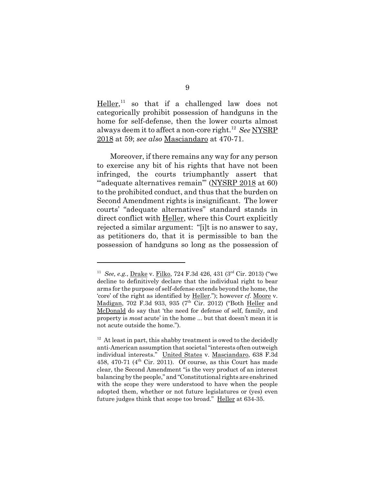Heller,<sup>11</sup> so that if a challenged law does not categorically prohibit possession of handguns in the home for self-defense, then the lower courts almost always deem it to affect a non-core right.12 *See* NYSRP 2018 at 59; *see also* Masciandaro at 470-71.

Moreover, if there remains any way for any person to exercise any bit of his rights that have not been infringed, the courts triumphantly assert that "adequate alternatives remain" (NYSRP 2018 at 60) to the prohibited conduct, and thus that the burden on Second Amendment rights is insignificant. The lower courts' "adequate alternatives" standard stands in direct conflict with **Heller**, where this Court explicitly rejected a similar argument: "[i]t is no answer to say, as petitioners do, that it is permissible to ban the possession of handguns so long as the possession of

<sup>11</sup> *See, e.g.*, Drake v. Filko, 724 F.3d 426, 431 (3rd Cir. 2013) ("we decline to definitively declare that the individual right to bear arms for the purpose of self-defense extends beyond the home, the 'core' of the right as identified by Heller."); however *cf.* Moore v. Madigan, 702 F.3d 933, 935 (7<sup>th</sup> Cir. 2012) ("Both Heller and McDonald do say that 'the need for defense of self, family, and property is *most* acute' in the home ... but that doesn't mean it is not acute outside the home.").

 $12$  At least in part, this shabby treatment is owed to the decidedly anti-American assumption that societal "interests often outweigh individual interests." United States v. Masciandaro, 638 F.3d 458, 470-71 ( $4<sup>th</sup>$  Cir. 2011). Of course, as this Court has made clear, the Second Amendment "is the very product of an interest balancing by the people," and "Constitutional rights are enshrined with the scope they were understood to have when the people adopted them, whether or not future legislatures or (yes) even future judges think that scope too broad." Heller at 634-35.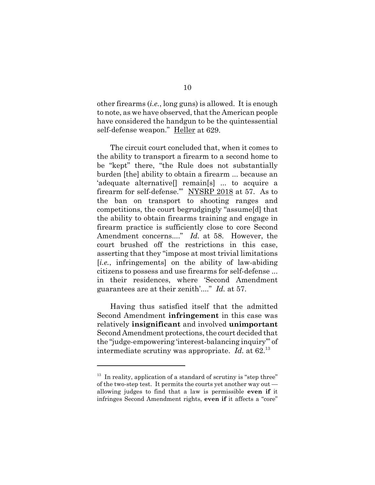other firearms (*i.e.*, long guns) is allowed. It is enough to note, as we have observed, that the American people have considered the handgun to be the quintessential self-defense weapon." Heller at 629.

The circuit court concluded that, when it comes to the ability to transport a firearm to a second home to be "kept" there, "the Rule does not substantially burden [the] ability to obtain a firearm ... because an 'adequate alternative[] remain[s] ... to acquire a firearm for self-defense.'" NYSRP 2018 at 57. As to the ban on transport to shooting ranges and competitions, the court begrudgingly "assume[d] that the ability to obtain firearms training and engage in firearm practice is sufficiently close to core Second Amendment concerns...." *Id.* at 58. However, the court brushed off the restrictions in this case, asserting that they "impose at most trivial limitations [*i.e.*, infringements] on the ability of law-abiding citizens to possess and use firearms for self-defense ... in their residences, where 'Second Amendment guarantees are at their zenith'...." *Id.* at 57.

Having thus satisfied itself that the admitted Second Amendment **infringement** in this case was relatively **insignificant** and involved **unimportant** Second Amendment protections, the court decided that the "judge-empowering 'interest-balancing inquiry'" of intermediate scrutiny was appropriate. *Id.* at 62.<sup>13</sup>

 $13$  In reality, application of a standard of scrutiny is "step three" of the two-step test. It permits the courts yet another way out allowing judges to find that a law is permissible **even if** it infringes Second Amendment rights, **even if** it affects a "core"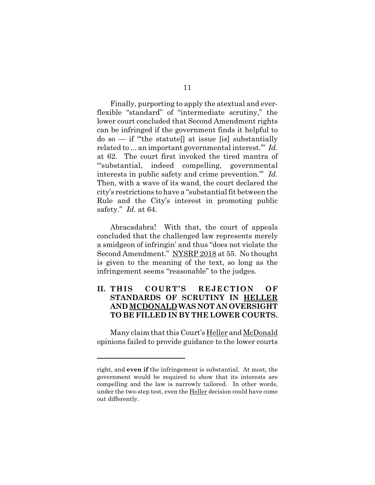Finally, purporting to apply the atextual and everflexible "standard" of "intermediate scrutiny," the lower court concluded that Second Amendment rights can be infringed if the government finds it helpful to  $\phi$  so  $\overline{\phi}$  if "the statute  $\overline{\phi}$  at issue [is] substantially related to ... an important governmental interest.'" *Id.* at 62. The court first invoked the tired mantra of "'substantial, indeed compelling, governmental interests in public safety and crime prevention.'" *Id.* Then, with a wave of its wand, the court declared the city's restrictions to have a "substantial fit between the Rule and the City's interest in promoting public safety." *Id.* at 64.

Abracadabra! With that, the court of appeals concluded that the challenged law represents merely a smidgeon of infringin' and thus "does not violate the Second Amendment." NYSRP 2018 at 55. No thought is given to the meaning of the text, so long as the infringement seems "reasonable" to the judges.

# **II. THIS COURT'S REJECTION OF STANDARDS OF SCRUTINY IN HELLER AND MCDONALD WAS NOT AN OVERSIGHT TO BE FILLED IN BY THE LOWER COURTS.**

Many claim that this Court's Heller and McDonald opinions failed to provide guidance to the lower courts

right, and **even if** the infringement is substantial. At most, the government would be required to show that its interests are compelling and the law is narrowly tailored. In other words, under the two-step test, even the Heller decision could have come out differently.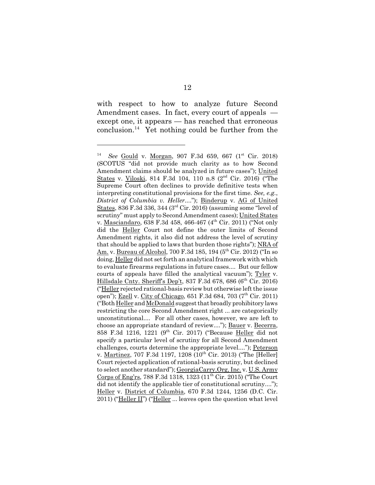with respect to how to analyze future Second Amendment cases. In fact, every court of appeals except one, it appears — has reached that erroneous conclusion.<sup>14</sup> Yet nothing could be further from the

<sup>&</sup>lt;sup>14</sup> *See* Gould v. Morgan, 907 F.3d 659, 667 (1<sup>st</sup> Cir. 2018) (SCOTUS "did not provide much clarity as to how Second Amendment claims should be analyzed in future cases"); United States v. Viloski, 814 F.3d 104, 110 n.8 (2nd Cir. 2016) ("The Supreme Court often declines to provide definitive tests when interpreting constitutional provisions for the first time. *See, e.g.*, *District of Columbia v. Heller*...."); Binderup v. AG of United States, 836 F.3d 336, 344 ( $3<sup>rd</sup>$  Cir. 2016) (assuming some "level of scrutiny" must apply to Second Amendment cases); United States v. Masciandaro, 638 F.3d 458, 466-467 (4<sup>th</sup> Cir. 2011) ("Not only did the Heller Court not define the outer limits of Second Amendment rights, it also did not address the level of scrutiny that should be applied to laws that burden those rights"); NRA of Am. v. Bureau of Alcohol, 700 F.3d 185, 194 (5<sup>th</sup> Cir. 2012) ("In so doing, Heller did not set forth an analytical framework with which to evaluate firearms regulations in future cases.... But our fellow courts of appeals have filled the analytical vacuum"); Tyler v. Hillsdale Cnty. Sheriff's Dep't, 837 F.3d 678, 686 ( $6<sup>th</sup>$  Cir. 2016) ("Heller rejected rational-basis review but otherwise left the issue open"); <u>Ezell</u> v. City of Chicago, 651 F.3d 684, 703 (7<sup>th</sup> Cir. 2011) ("Both Heller and McDonald suggest that broadly prohibitory laws restricting the core Second Amendment right ... are categorically unconstitutional.... For all other cases, however, we are left to choose an appropriate standard of review...."); Bauer v. Becerra, 858 F.3d 1216, 1221 (9th Cir. 2017) ("Because Heller did not specify a particular level of scrutiny for all Second Amendment challenges, courts determine the appropriate level...."); Peterson v. Martinez, 707 F.3d 1197, 1208 (10<sup>th</sup> Cir. 2013) ("The [Heller] Court rejected application of rational-basis scrutiny, but declined to select another standard"); GeorgiaCarry.Org, Inc. v. U.S. Army Corps of Eng'rs, 788 F.3d 1318, 1323  $(11<sup>th</sup>$  Cir. 2015) ("The Court did not identify the applicable tier of constitutional scrutiny...."); Heller v. District of Columbia, 670 F.3d 1244, 1256 (D.C. Cir. 2011) ("Heller II") ("Heller ... leaves open the question what level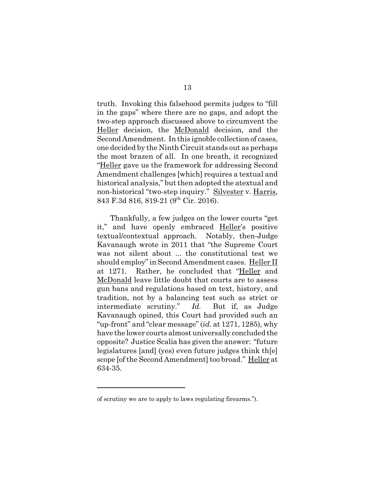truth. Invoking this falsehood permits judges to "fill in the gaps" where there are no gaps, and adopt the two-step approach discussed above to circumvent the Heller decision, the McDonald decision, and the Second Amendment. In this ignoble collection of cases, one decided by the Ninth Circuit stands out as perhaps the most brazen of all. In one breath, it recognized "Heller gave us the framework for addressing Second Amendment challenges [which] requires a textual and historical analysis," but then adopted the atextual and non-historical "two-step inquiry." Silvester v. Harris, 843 F.3d 816, 819-21 (9th Cir. 2016).

Thankfully, a few judges on the lower courts "get it," and have openly embraced Heller's positive textual/contextual approach. Notably, then-Judge Kavanaugh wrote in 2011 that "the Supreme Court was not silent about ... the constitutional test we should employ" in Second Amendment cases. Heller II at 1271. Rather, he concluded that "Heller and McDonald leave little doubt that courts are to assess gun bans and regulations based on text, history, and tradition, not by a balancing test such as strict or intermediate scrutiny." *Id.* But if, as Judge Kavanaugh opined, this Court had provided such an "up-front" and "clear message" (*id.* at 1271, 1285), why have the lower courts almost universally concluded the opposite? Justice Scalia has given the answer: "future legislatures [and] (yes) even future judges think th[e] scope [of the Second Amendment] too broad." Heller at 634-35.

of scrutiny we are to apply to laws regulating firearms.").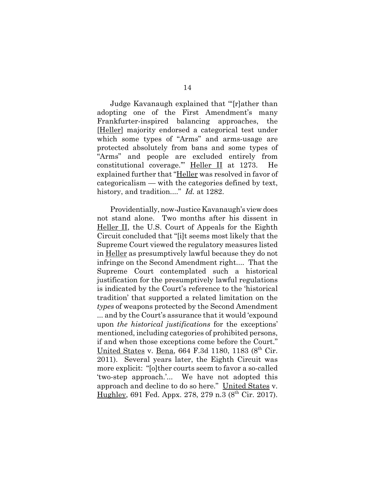Judge Kavanaugh explained that "'[r]ather than adopting one of the First Amendment's many Frankfurter-inspired balancing approaches, the [Heller] majority endorsed a categorical test under which some types of "Arms" and arms-usage are protected absolutely from bans and some types of "Arms" and people are excluded entirely from constitutional coverage.'" Heller II at 1273. He explained further that "Heller was resolved in favor of categoricalism — with the categories defined by text, history, and tradition...." *Id.* at 1282.

Providentially, now-Justice Kavanaugh's view does not stand alone. Two months after his dissent in Heller II, the U.S. Court of Appeals for the Eighth Circuit concluded that "[i]t seems most likely that the Supreme Court viewed the regulatory measures listed in Heller as presumptively lawful because they do not infringe on the Second Amendment right.... That the Supreme Court contemplated such a historical justification for the presumptively lawful regulations is indicated by the Court's reference to the 'historical tradition' that supported a related limitation on the *types* of weapons protected by the Second Amendment ... and by the Court's assurance that it would 'expound upon *the historical justifications* for the exceptions' mentioned, including categories of prohibited persons, if and when those exceptions come before the Court." United States v. Bena, 664 F.3d 1180, 1183 ( $8<sup>th</sup>$  Cir. 2011). Several years later, the Eighth Circuit was more explicit: "[o]ther courts seem to favor a so-called 'two-step approach.'... We have not adopted this approach and decline to do so here." United States v. Hughley, 691 Fed. Appx. 278, 279 n.3  $(8^{th}$  Cir. 2017).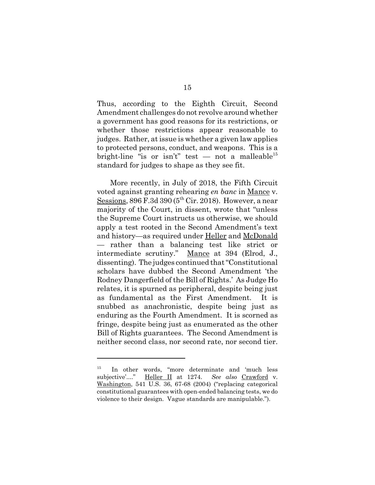Thus, according to the Eighth Circuit, Second Amendment challenges do not revolve around whether a government has good reasons for its restrictions, or whether those restrictions appear reasonable to judges. Rather, at issue is whether a given law applies to protected persons, conduct, and weapons. This is a bright-line "is or isn't" test  $-$  not a malleable<sup>15</sup> standard for judges to shape as they see fit.

More recently, in July of 2018, the Fifth Circuit voted against granting rehearing *en banc* in Mance v. Sessions,  $896$  F.3d  $390$  ( $5<sup>th</sup>$  Cir. 2018). However, a near majority of the Court, in dissent, wrote that "unless the Supreme Court instructs us otherwise, we should apply a test rooted in the Second Amendment's text and history—as required under Heller and McDonald — rather than a balancing test like strict or intermediate scrutiny." Mance at 394 (Elrod, J., dissenting). The judges continued that "Constitutional scholars have dubbed the Second Amendment 'the Rodney Dangerfield of the Bill of Rights.' As Judge Ho relates, it is spurned as peripheral, despite being just as fundamental as the First Amendment. It is snubbed as anachronistic, despite being just as enduring as the Fourth Amendment. It is scorned as fringe, despite being just as enumerated as the other Bill of Rights guarantees. The Second Amendment is neither second class, nor second rate, nor second tier.

<sup>&</sup>lt;sup>15</sup> In other words, "more determinate and 'much less subjective'...." Heller II at 1274. *See also* Crawford v. Washington, 541 U.S. 36, 67-68 (2004) ("replacing categorical constitutional guarantees with open-ended balancing tests, we do violence to their design. Vague standards are manipulable.").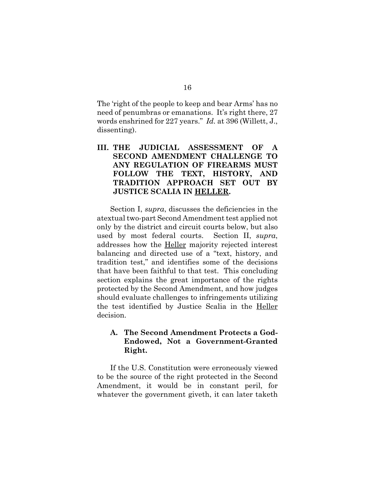The 'right of the people to keep and bear Arms' has no need of penumbras or emanations. It's right there, 27 words enshrined for 227 years." *Id.* at 396 (Willett, J., dissenting).

# **III. THE JUDICIAL ASSESSMENT OF A SECOND AMENDMENT CHALLENGE TO ANY REGULATION OF FIREARMS MUST FOLLOW THE TEXT, HISTORY, AND TRADITION APPROACH SET OUT BY JUSTICE SCALIA IN HELLER.**

Section I, *supra*, discusses the deficiencies in the atextual two-part Second Amendment test applied not only by the district and circuit courts below, but also used by most federal courts. Section II, *supra*, addresses how the Heller majority rejected interest balancing and directed use of a "text, history, and tradition test," and identifies some of the decisions that have been faithful to that test. This concluding section explains the great importance of the rights protected by the Second Amendment, and how judges should evaluate challenges to infringements utilizing the test identified by Justice Scalia in the Heller decision.

## **A. The Second Amendment Protects a God-Endowed, Not a Government-Granted Right.**

If the U.S. Constitution were erroneously viewed to be the source of the right protected in the Second Amendment, it would be in constant peril, for whatever the government giveth, it can later taketh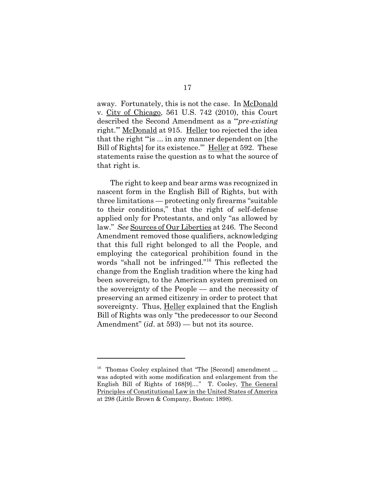away. Fortunately, this is not the case. In McDonald v. City of Chicago, 561 U.S. 742 (2010), this Court described the Second Amendment as a "'*pre-existing* right.'" McDonald at 915. Heller too rejected the idea that the right "'is ... in any manner dependent on [the Bill of Rights] for its existence." Heller at 592. These statements raise the question as to what the source of that right is.

The right to keep and bear arms was recognized in nascent form in the English Bill of Rights, but with three limitations — protecting only firearms "suitable to their conditions," that the right of self-defense applied only for Protestants, and only "as allowed by law." *See* Sources of Our Liberties at 246. The Second Amendment removed those qualifiers, acknowledging that this full right belonged to all the People, and employing the categorical prohibition found in the words "shall not be infringed."16 This reflected the change from the English tradition where the king had been sovereign, to the American system premised on the sovereignty of the People — and the necessity of preserving an armed citizenry in order to protect that sovereignty. Thus, Heller explained that the English Bill of Rights was only "the predecessor to our Second Amendment" (*id*. at 593) — but not its source.

<sup>&</sup>lt;sup>16</sup> Thomas Cooley explained that "The [Second] amendment ... was adopted with some modification and enlargement from the English Bill of Rights of 168[9]...." T. Cooley, The General Principles of Constitutional Law in the United States of America at 298 (Little Brown & Company, Boston: 1898).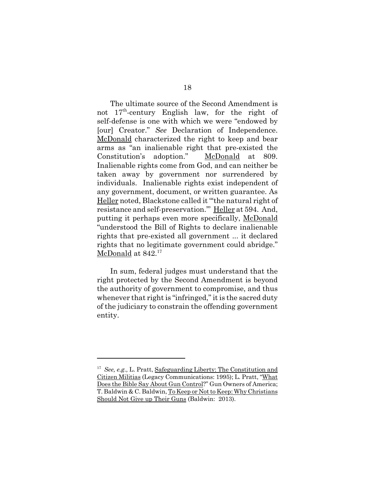The ultimate source of the Second Amendment is not  $17<sup>th</sup>$ -century English law, for the right of self-defense is one with which we were "endowed by [our] Creator." *See* Declaration of Independence. McDonald characterized the right to keep and bear arms as "an inalienable right that pre-existed the Constitution's adoption." McDonald at 809. Inalienable rights come from God, and can neither be taken away by government nor surrendered by individuals. Inalienable rights exist independent of any government, document, or written guarantee. As Heller noted, Blackstone called it "'the natural right of resistance and self-preservation.'" Heller at 594. And, putting it perhaps even more specifically, McDonald "understood the Bill of Rights to declare inalienable rights that pre-existed all government ... it declared rights that no legitimate government could abridge." McDonald at  $842.^{17}$ 

In sum, federal judges must understand that the right protected by the Second Amendment is beyond the authority of government to compromise, and thus whenever that right is "infringed," it is the sacred duty of the judiciary to constrain the offending government entity.

<sup>17</sup> *See, e.g.,* L. Pratt, Safeguarding Liberty: The Constitution and Citizen Militias (Legacy Communications: 1995); L. Pratt, "What Does the Bible Say About Gun Control?" Gun Owners of America; T. Baldwin & C. Baldwin, To Keep or Not to Keep: Why Christians Should Not Give up Their Guns (Baldwin: 2013).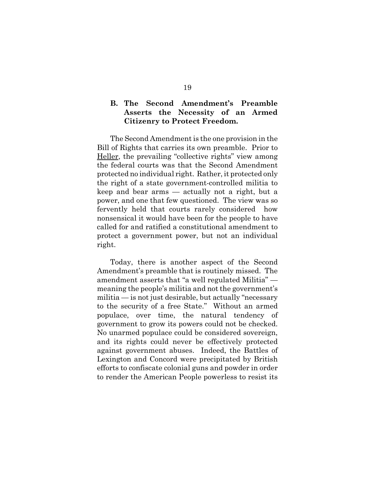## **B. The Second Amendment's Preamble Asserts the Necessity of an Armed Citizenry to Protect Freedom.**

The Second Amendment is the one provision in the Bill of Rights that carries its own preamble. Prior to Heller, the prevailing "collective rights" view among the federal courts was that the Second Amendment protected no individual right. Rather, it protected only the right of a state government-controlled militia to keep and bear arms — actually not a right, but a power, and one that few questioned. The view was so fervently held that courts rarely considered how nonsensical it would have been for the people to have called for and ratified a constitutional amendment to protect a government power, but not an individual right.

Today, there is another aspect of the Second Amendment's preamble that is routinely missed. The amendment asserts that "a well regulated Militia" meaning the people's militia and not the government's militia — is not just desirable, but actually "necessary to the security of a free State." Without an armed populace, over time, the natural tendency of government to grow its powers could not be checked. No unarmed populace could be considered sovereign, and its rights could never be effectively protected against government abuses. Indeed, the Battles of Lexington and Concord were precipitated by British efforts to confiscate colonial guns and powder in order to render the American People powerless to resist its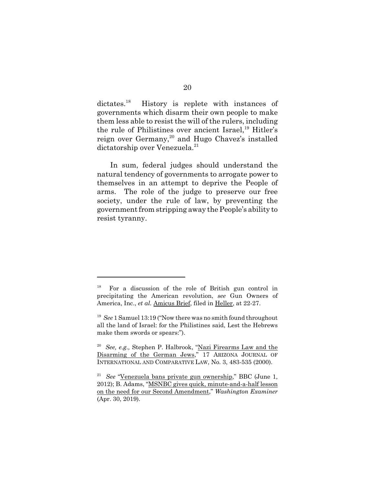dictates.<sup>18</sup> History is replete with instances of governments which disarm their own people to make them less able to resist the will of the rulers, including the rule of Philistines over ancient Israel,<sup>19</sup> Hitler's reign over Germany,<sup>20</sup> and Hugo Chavez's installed dictatorship over Venezuela.<sup>21</sup>

In sum, federal judges should understand the natural tendency of governments to arrogate power to themselves in an attempt to deprive the People of arms. The role of the judge to preserve our free society, under the rule of law, by preventing the government from stripping away the People's ability to resist tyranny.

<sup>18</sup> For a discussion of the role of British gun control in precipitating the American revolution, *see* Gun Owners of America, Inc., *et al.* Amicus Brief, filed in Heller, at 22-27.

<sup>19</sup> *See* 1 Samuel 13:19 ("Now there was no smith found throughout all the land of Israel: for the Philistines said, Lest the Hebrews make them swords or spears:").

<sup>20</sup> *See, e.g.,* Stephen P. Halbrook, "Nazi Firearms Law and the Disarming of the German Jews," 17 ARIZONA JOURNAL OF INTERNATIONAL AND COMPARATIVE LAW, No. 3, 483-535 (2000).

<sup>21</sup> *See* "Venezuela bans private gun ownership," BBC (June 1, 2012); B. Adams, "MSNBC gives quick, minute-and-a-half lesson on the need for our Second Amendment," *Washington Examiner* (Apr. 30, 2019).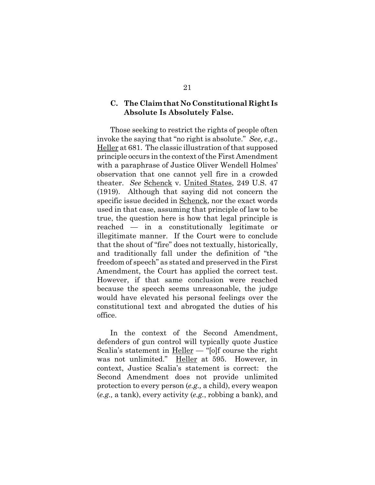### **C. The Claim that No Constitutional Right Is Absolute Is Absolutely False.**

Those seeking to restrict the rights of people often invoke the saying that "no right is absolute." *See, e.g.*, Heller at 681. The classic illustration of that supposed principle occurs in the context of the First Amendment with a paraphrase of Justice Oliver Wendell Holmes' observation that one cannot yell fire in a crowded theater. *See* Schenck v. United States, 249 U.S. 47 (1919). Although that saying did not concern the specific issue decided in Schenck, nor the exact words used in that case, assuming that principle of law to be true, the question here is how that legal principle is reached — in a constitutionally legitimate or illegitimate manner. If the Court were to conclude that the shout of "fire" does not textually, historically, and traditionally fall under the definition of "the freedom of speech" as stated and preserved in the First Amendment, the Court has applied the correct test. However, if that same conclusion were reached because the speech seems unreasonable, the judge would have elevated his personal feelings over the constitutional text and abrogated the duties of his office.

In the context of the Second Amendment, defenders of gun control will typically quote Justice Scalia's statement in Heller — "[o]f course the right was not unlimited." Heller at 595. However, in context, Justice Scalia's statement is correct: the Second Amendment does not provide unlimited protection to every person (*e.g.,* a child), every weapon (*e.g.,* a tank), every activity (*e.g.*, robbing a bank), and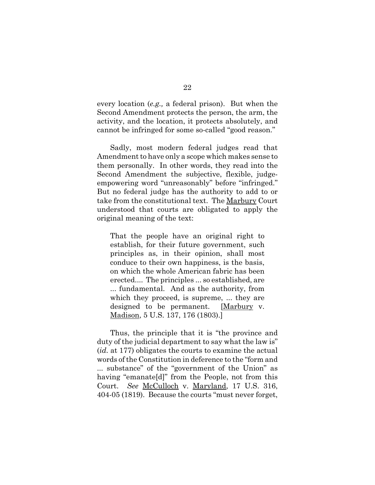every location (*e.g.,* a federal prison). But when the Second Amendment protects the person, the arm, the activity, and the location, it protects absolutely, and cannot be infringed for some so-called "good reason."

Sadly, most modern federal judges read that Amendment to have only a scope which makes sense to them personally. In other words, they read into the Second Amendment the subjective, flexible, judgeempowering word "unreasonably" before "infringed." But no federal judge has the authority to add to or take from the constitutional text. The Marbury Court understood that courts are obligated to apply the original meaning of the text:

That the people have an original right to establish, for their future government, such principles as, in their opinion, shall most conduce to their own happiness, is the basis, on which the whole American fabric has been erected.... The principles ... so established, are ... fundamental. And as the authority, from which they proceed, is supreme, ... they are designed to be permanent. [Marbury v. Madison, 5 U.S. 137, 176 (1803).]

Thus, the principle that it is "the province and duty of the judicial department to say what the law is" (*id.* at 177) obligates the courts to examine the actual words of the Constitution in deference to the "form and ... substance" of the "government of the Union" as having "emanate[d]" from the People, not from this Court. *See* McCulloch v. Maryland, 17 U.S. 316, 404-05 (1819). Because the courts "must never forget,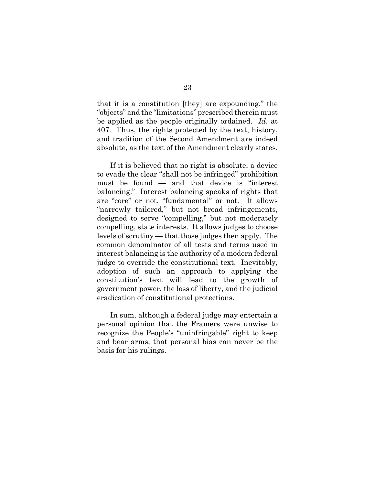that it is a constitution [they] are expounding," the "objects" and the "limitations" prescribed therein must be applied as the people originally ordained. *Id*. at 407. Thus, the rights protected by the text, history, and tradition of the Second Amendment are indeed absolute, as the text of the Amendment clearly states.

If it is believed that no right is absolute, a device to evade the clear "shall not be infringed" prohibition must be found — and that device is "interest balancing." Interest balancing speaks of rights that are "core" or not, "fundamental" or not. It allows "narrowly tailored," but not broad infringements, designed to serve "compelling," but not moderately compelling, state interests. It allows judges to choose levels of scrutiny — that those judges then apply. The common denominator of all tests and terms used in interest balancing is the authority of a modern federal judge to override the constitutional text. Inevitably, adoption of such an approach to applying the constitution's text will lead to the growth of government power, the loss of liberty, and the judicial eradication of constitutional protections.

In sum, although a federal judge may entertain a personal opinion that the Framers were unwise to recognize the People's "uninfringable" right to keep and bear arms, that personal bias can never be the basis for his rulings.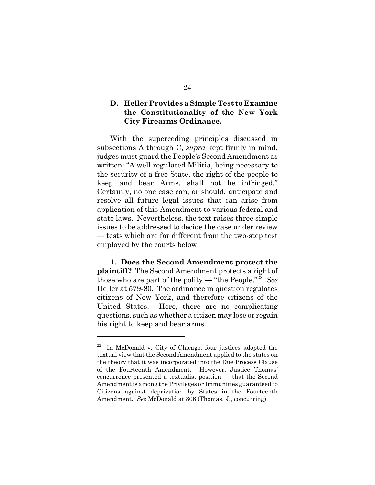## **D. Heller Provides a Simple Test to Examine the Constitutionality of the New York City Firearms Ordinance.**

With the superceding principles discussed in subsections A through C, *supra* kept firmly in mind, judges must guard the People's Second Amendment as written: "A well regulated Militia, being necessary to the security of a free State, the right of the people to keep and bear Arms, shall not be infringed." Certainly, no one case can, or should, anticipate and resolve all future legal issues that can arise from application of this Amendment to various federal and state laws. Nevertheless, the text raises three simple issues to be addressed to decide the case under review — tests which are far different from the two-step test employed by the courts below.

**1. Does the Second Amendment protect the plaintiff?** The Second Amendment protects a right of those who are part of the polity — "the People."22 *See* Heller at 579-80. The ordinance in question regulates citizens of New York, and therefore citizens of the United States. Here, there are no complicating questions, such as whether a citizen may lose or regain his right to keep and bear arms.

 $22$  In McDonald v. City of Chicago, four justices adopted the textual view that the Second Amendment applied to the states on the theory that it was incorporated into the Due Process Clause of the Fourteenth Amendment. However, Justice Thomas' concurrence presented a textualist position — that the Second Amendment is among the Privileges or Immunities guaranteed to Citizens against deprivation by States in the Fourteenth Amendment. *See* McDonald at 806 (Thomas, J., concurring).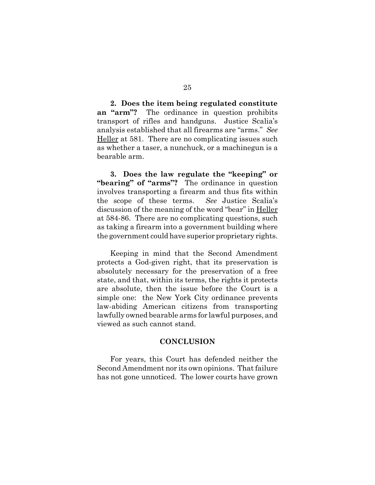**2. Does the item being regulated constitute an "arm"?** The ordinance in question prohibits transport of rifles and handguns. Justice Scalia's analysis established that all firearms are "arms." *See* Heller at 581. There are no complicating issues such as whether a taser, a nunchuck, or a machinegun is a bearable arm.

**3. Does the law regulate the "keeping" or "bearing" of "arms"?** The ordinance in question involves transporting a firearm and thus fits within the scope of these terms. *See* Justice Scalia's discussion of the meaning of the word "bear" in Heller at 584-86. There are no complicating questions, such as taking a firearm into a government building where the government could have superior proprietary rights.

Keeping in mind that the Second Amendment protects a God-given right, that its preservation is absolutely necessary for the preservation of a free state, and that, within its terms, the rights it protects are absolute, then the issue before the Court is a simple one: the New York City ordinance prevents law-abiding American citizens from transporting lawfully owned bearable arms for lawful purposes, and viewed as such cannot stand.

### **CONCLUSION**

For years, this Court has defended neither the Second Amendment nor its own opinions. That failure has not gone unnoticed. The lower courts have grown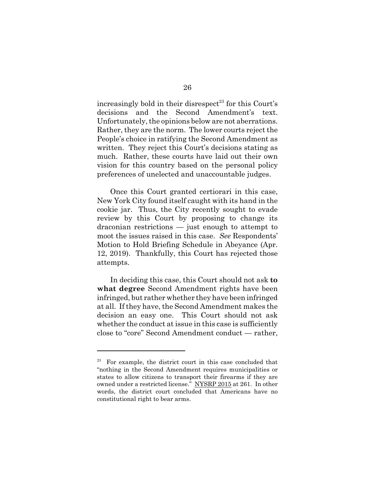increasingly bold in their disrespect<sup>23</sup> for this Court's decisions and the Second Amendment's text. Unfortunately, the opinions below are not aberrations. Rather, they are the norm. The lower courts reject the People's choice in ratifying the Second Amendment as written. They reject this Court's decisions stating as much. Rather, these courts have laid out their own vision for this country based on the personal policy preferences of unelected and unaccountable judges.

Once this Court granted certiorari in this case, New York City found itself caught with its hand in the cookie jar. Thus, the City recently sought to evade review by this Court by proposing to change its draconian restrictions — just enough to attempt to moot the issues raised in this case. *See* Respondents' Motion to Hold Briefing Schedule in Abeyance (Apr. 12, 2019). Thankfully, this Court has rejected those attempts.

In deciding this case, this Court should not ask **to what degree** Second Amendment rights have been infringed, but rather whether they have been infringed at all. If they have, the Second Amendment makes the decision an easy one. This Court should not ask whether the conduct at issue in this case is sufficiently close to "core" Second Amendment conduct — rather,

 $23$  For example, the district court in this case concluded that "nothing in the Second Amendment requires municipalities or states to allow citizens to transport their firearms if they are owned under a restricted license." NYSRP 2015 at 261. In other words, the district court concluded that Americans have no constitutional right to bear arms.